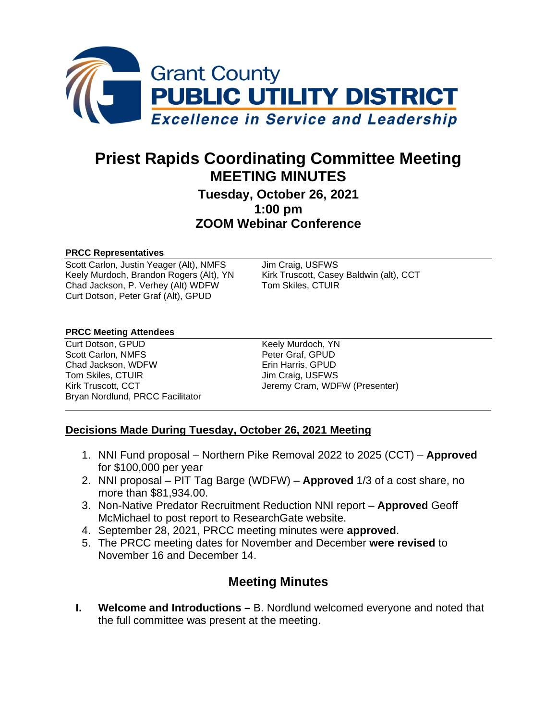

# **Priest Rapids Coordinating Committee Meeting MEETING MINUTES**

## **Tuesday, October 26, 2021 1:00 pm ZOOM Webinar Conference**

#### **PRCC Representatives**

Scott Carlon, Justin Yeager (Alt), NMFS<br>
Kirk Truscott, Casey Baldwin (alt), CCT<br>
Kirk Truscott, Casey Baldwin (alt), CCT Keely Murdoch, Brandon Rogers (Alt), YN Chad Jackson, P. Verhey (Alt) WDFW Tom Skiles, CTUIR Curt Dotson, Peter Graf (Alt), GPUD

#### **PRCC Meeting Attendees**

Curt Dotson, GPUD Keely Murdoch, YN Scott Carlon, NMFS<br>
Chad Jackson, WDFW<br>
Chad Jackson, WDFW<br>
Peter Graf, GPUD Chad Jackson, WDFW Tom Skiles, CTUIR Jim Craig, USFWS Bryan Nordlund, PRCC Facilitator

Kirk Truscott, CCT Jeremy Cram, WDFW (Presenter)

#### **Decisions Made During Tuesday, October 26, 2021 Meeting**

- 1. NNI Fund proposal Northern Pike Removal 2022 to 2025 (CCT) **Approved** for \$100,000 per year
- 2. NNI proposal PIT Tag Barge (WDFW) **Approved** 1/3 of a cost share, no more than \$81,934.00.
- 3. Non-Native Predator Recruitment Reduction NNI report **Approved** Geoff McMichael to post report to ResearchGate website.
- 4. September 28, 2021, PRCC meeting minutes were **approved**.
- 5. The PRCC meeting dates for November and December **were revised** to November 16 and December 14.

# **Meeting Minutes**

**I. Welcome and Introductions –** B. Nordlund welcomed everyone and noted that the full committee was present at the meeting.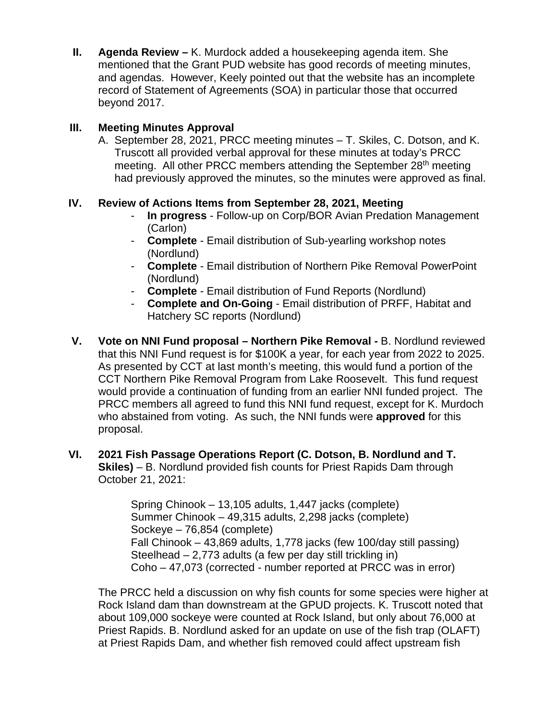**II. Agenda Review –** K. Murdock added a housekeeping agenda item. She mentioned that the Grant PUD website has good records of meeting minutes, and agendas. However, Keely pointed out that the website has an incomplete record of Statement of Agreements (SOA) in particular those that occurred beyond 2017.

#### **III. Meeting Minutes Approval**

A. September 28, 2021, PRCC meeting minutes – T. Skiles, C. Dotson, and K. Truscott all provided verbal approval for these minutes at today's PRCC meeting. All other PRCC members attending the September 28<sup>th</sup> meeting had previously approved the minutes, so the minutes were approved as final.

#### **IV. Review of Actions Items from September 28, 2021, Meeting**

- **In progress** Follow-up on Corp/BOR Avian Predation Management (Carlon)
- **Complete** Email distribution of Sub-yearling workshop notes (Nordlund)
- **Complete** Email distribution of Northern Pike Removal PowerPoint (Nordlund)
- **Complete** Email distribution of Fund Reports (Nordlund)<br>- **Complete and On-Going** Email distribution of PRFF, Ha
- **Complete and On-Going** Email distribution of PRFF, Habitat and Hatchery SC reports (Nordlund)
- **V. Vote on NNI Fund proposal – Northern Pike Removal -** B. Nordlund reviewed that this NNI Fund request is for \$100K a year, for each year from 2022 to 2025. As presented by CCT at last month's meeting, this would fund a portion of the CCT Northern Pike Removal Program from Lake Roosevelt. This fund request would provide a continuation of funding from an earlier NNI funded project. The PRCC members all agreed to fund this NNI fund request, except for K. Murdoch who abstained from voting. As such, the NNI funds were **approved** for this proposal.

#### **VI. 2021 Fish Passage Operations Report (C. Dotson, B. Nordlund and T. Skiles)** – B. Nordlund provided fish counts for Priest Rapids Dam through October 21, 2021:

Spring Chinook – 13,105 adults, 1,447 jacks (complete) Summer Chinook – 49,315 adults, 2,298 jacks (complete) Sockeye – 76,854 (complete) Fall Chinook – 43,869 adults, 1,778 jacks (few 100/day still passing) Steelhead – 2,773 adults (a few per day still trickling in) Coho – 47,073 (corrected - number reported at PRCC was in error)

The PRCC held a discussion on why fish counts for some species were higher at Rock Island dam than downstream at the GPUD projects. K. Truscott noted that about 109,000 sockeye were counted at Rock Island, but only about 76,000 at Priest Rapids. B. Nordlund asked for an update on use of the fish trap (OLAFT) at Priest Rapids Dam, and whether fish removed could affect upstream fish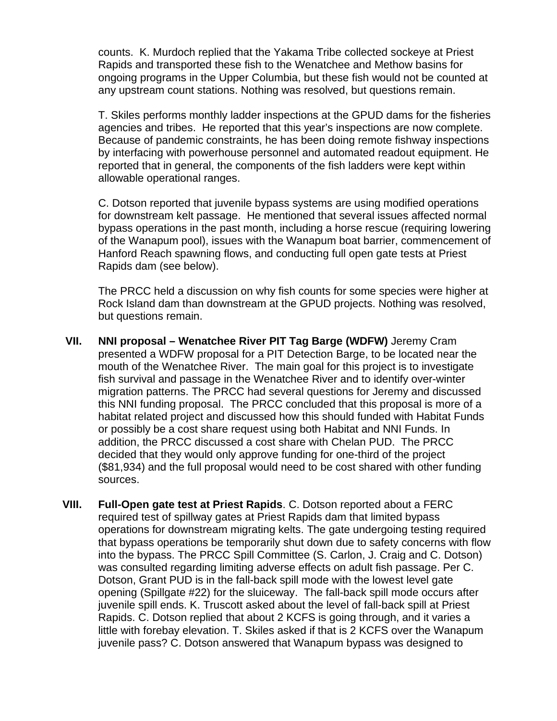counts. K. Murdoch replied that the Yakama Tribe collected sockeye at Priest Rapids and transported these fish to the Wenatchee and Methow basins for ongoing programs in the Upper Columbia, but these fish would not be counted at any upstream count stations. Nothing was resolved, but questions remain.

T. Skiles performs monthly ladder inspections at the GPUD dams for the fisheries agencies and tribes. He reported that this year's inspections are now complete. Because of pandemic constraints, he has been doing remote fishway inspections by interfacing with powerhouse personnel and automated readout equipment. He reported that in general, the components of the fish ladders were kept within allowable operational ranges.

C. Dotson reported that juvenile bypass systems are using modified operations for downstream kelt passage. He mentioned that several issues affected normal bypass operations in the past month, including a horse rescue (requiring lowering of the Wanapum pool), issues with the Wanapum boat barrier, commencement of Hanford Reach spawning flows, and conducting full open gate tests at Priest Rapids dam (see below).

The PRCC held a discussion on why fish counts for some species were higher at Rock Island dam than downstream at the GPUD projects. Nothing was resolved, but questions remain.

- **VII. NNI proposal – Wenatchee River PIT Tag Barge (WDFW)** Jeremy Cram presented a WDFW proposal for a PIT Detection Barge, to be located near the mouth of the Wenatchee River. The main goal for this project is to investigate fish survival and passage in the Wenatchee River and to identify over-winter migration patterns. The PRCC had several questions for Jeremy and discussed this NNI funding proposal. The PRCC concluded that this proposal is more of a habitat related project and discussed how this should funded with Habitat Funds or possibly be a cost share request using both Habitat and NNI Funds. In addition, the PRCC discussed a cost share with Chelan PUD. The PRCC decided that they would only approve funding for one-third of the project (\$81,934) and the full proposal would need to be cost shared with other funding sources.
- **VIII. Full-Open gate test at Priest Rapids**. C. Dotson reported about a FERC required test of spillway gates at Priest Rapids dam that limited bypass operations for downstream migrating kelts. The gate undergoing testing required that bypass operations be temporarily shut down due to safety concerns with flow into the bypass. The PRCC Spill Committee (S. Carlon, J. Craig and C. Dotson) was consulted regarding limiting adverse effects on adult fish passage. Per C. Dotson, Grant PUD is in the fall-back spill mode with the lowest level gate opening (Spillgate #22) for the sluiceway. The fall-back spill mode occurs after juvenile spill ends. K. Truscott asked about the level of fall-back spill at Priest Rapids. C. Dotson replied that about 2 KCFS is going through, and it varies a little with forebay elevation. T. Skiles asked if that is 2 KCFS over the Wanapum juvenile pass? C. Dotson answered that Wanapum bypass was designed to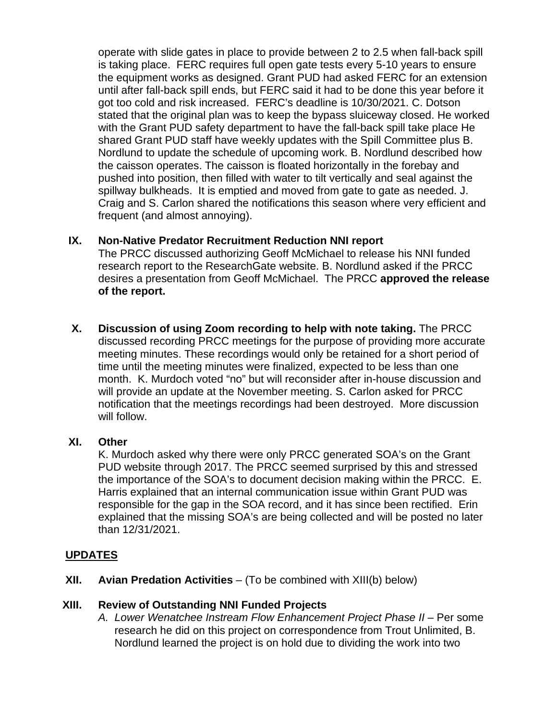operate with slide gates in place to provide between 2 to 2.5 when fall-back spill is taking place. FERC requires full open gate tests every 5-10 years to ensure the equipment works as designed. Grant PUD had asked FERC for an extension until after fall-back spill ends, but FERC said it had to be done this year before it got too cold and risk increased. FERC's deadline is 10/30/2021. C. Dotson stated that the original plan was to keep the bypass sluiceway closed. He worked with the Grant PUD safety department to have the fall-back spill take place He shared Grant PUD staff have weekly updates with the Spill Committee plus B. Nordlund to update the schedule of upcoming work. B. Nordlund described how the caisson operates. The caisson is floated horizontally in the forebay and pushed into position, then filled with water to tilt vertically and seal against the spillway bulkheads. It is emptied and moved from gate to gate as needed. J. Craig and S. Carlon shared the notifications this season where very efficient and frequent (and almost annoying).

#### **IX. Non-Native Predator Recruitment Reduction NNI report**

The PRCC discussed authorizing Geoff McMichael to release his NNI funded research report to the ResearchGate website. B. Nordlund asked if the PRCC desires a presentation from Geoff McMichael. The PRCC **approved the release of the report.**

**X. Discussion of using Zoom recording to help with note taking.** The PRCC discussed recording PRCC meetings for the purpose of providing more accurate meeting minutes. These recordings would only be retained for a short period of time until the meeting minutes were finalized, expected to be less than one month. K. Murdoch voted "no" but will reconsider after in-house discussion and will provide an update at the November meeting. S. Carlon asked for PRCC notification that the meetings recordings had been destroyed. More discussion will follow.

#### **XI. Other**

K. Murdoch asked why there were only PRCC generated SOA's on the Grant PUD website through 2017. The PRCC seemed surprised by this and stressed the importance of the SOA's to document decision making within the PRCC. E. Harris explained that an internal communication issue within Grant PUD was responsible for the gap in the SOA record, and it has since been rectified. Erin explained that the missing SOA's are being collected and will be posted no later than 12/31/2021.

### **UPDATES**

**XII. Avian Predation Activities** – (To be combined with XIII(b) below)

### **XIII. Review of Outstanding NNI Funded Projects**

*A. Lower Wenatchee Instream Flow Enhancement Project Phase II* – Per some research he did on this project on correspondence from Trout Unlimited, B. Nordlund learned the project is on hold due to dividing the work into two